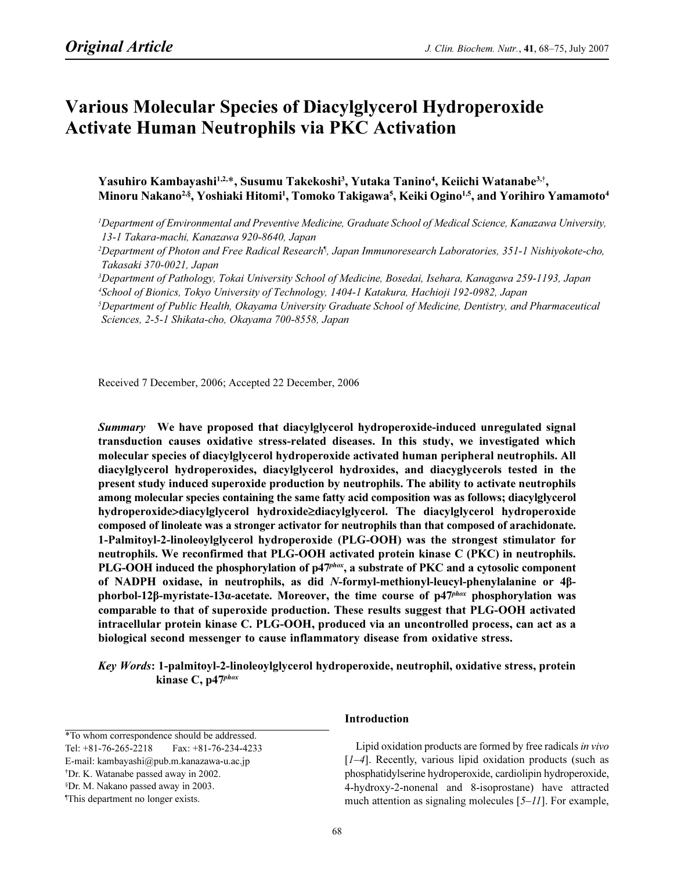# Various Molecular Species of Diacylglycerol Hydroperoxide Activate Human Neutrophils via PKC Activation

Yasuhiro Kambayashi<sup>1,2,\*</sup>, Susumu Takekoshi<sup>3</sup>, Yutaka Tanino<sup>4</sup>, Keiichi Watanabe<sup>3,†</sup>, Minoru Nakano<sup>2,§</sup>, Yoshiaki Hitomi<sup>1</sup>, Tomoko Takigawa<sup>5</sup>, Keiki Ogino<sup>1,5</sup>, and Yorihiro Yamamoto<sup>4</sup>

1 Department of Environmental and Preventive Medicine, Graduate School of Medical Science, Kanazawa University, 13-1 Takara-machi, Kanazawa 920-8640, Japan

2 Department of Photon and Free Radical Research¶ , Japan Immunoresearch Laboratories, 351-1 Nishiyokote-cho, Takasaki 370-0021, Japan

3 Department of Pathology, Tokai University School of Medicine, Bosedai, Isehara, Kanagawa 259-1193, Japan 4 School of Bionics, Tokyo University of Technology, 1404-1 Katakura, Hachioji 192-0982, Japan

5 Department of Public Health, Okayama University Graduate School of Medicine, Dentistry, and Pharmaceutical Sciences, 2-5-1 Shikata-cho, Okayama 700-8558, Japan

Received 7 December, 2006; Accepted 22 December, 2006

Summary We have proposed that diacylglycerol hydroperoxide-induced unregulated signal transduction causes oxidative stress-related diseases. In this study, we investigated which molecular species of diacylglycerol hydroperoxide activated human peripheral neutrophils. All diacylglycerol hydroperoxides, diacylglycerol hydroxides, and diacyglycerols tested in the present study induced superoxide production by neutrophils. The ability to activate neutrophils among molecular species containing the same fatty acid composition was as follows; diacylglycerol hydroperoxide>diacylglycerol hydroxide≥diacylglycerol. The diacylglycerol hydroperoxide composed of linoleate was a stronger activator for neutrophils than that composed of arachidonate. 1-Palmitoyl-2-linoleoylglycerol hydroperoxide (PLG-OOH) was the strongest stimulator for neutrophils. We reconfirmed that PLG-OOH activated protein kinase C (PKC) in neutrophils. PLG-OOH induced the phosphorylation of  $p47^{ph\alpha x}$ , a substrate of PKC and a cytosolic component of NADPH oxidase, in neutrophils, as did N-formyl-methionyl-leucyl-phenylalanine or 4βphorbol-12β-myristate-13α-acetate. Moreover, the time course of  $p47<sup>phox</sup>$  phosphorylation was comparable to that of superoxide production. These results suggest that PLG-OOH activated intracellular protein kinase C. PLG-OOH, produced via an uncontrolled process, can act as a biological second messenger to cause inflammatory disease from oxidative stress.

Key Words: 1-palmitoyl-2-linoleoylglycerol hydroperoxide, neutrophil, oxidative stress, protein kinase C, p47<sup>phox</sup>

\*To whom correspondence should be addressed.

§ Dr. M. Nakano passed away in 2003.

# Introduction

Lipid oxidation products are formed by free radicals in vivo  $[1–4]$ . Recently, various lipid oxidation products (such as phosphatidylserine hydroperoxide, cardiolipin hydroperoxide, 4-hydroxy-2-nonenal and 8-isoprostane) have attracted much attention as signaling molecules [5–11]. For example,

Tel: +81-76-265-2218 Fax: +81-76-234-4233

E-mail: kambayashi@pub.m.kanazawa-u.ac.jp

<sup>†</sup> Dr. K. Watanabe passed away in 2002.

<sup>¶</sup> This department no longer exists.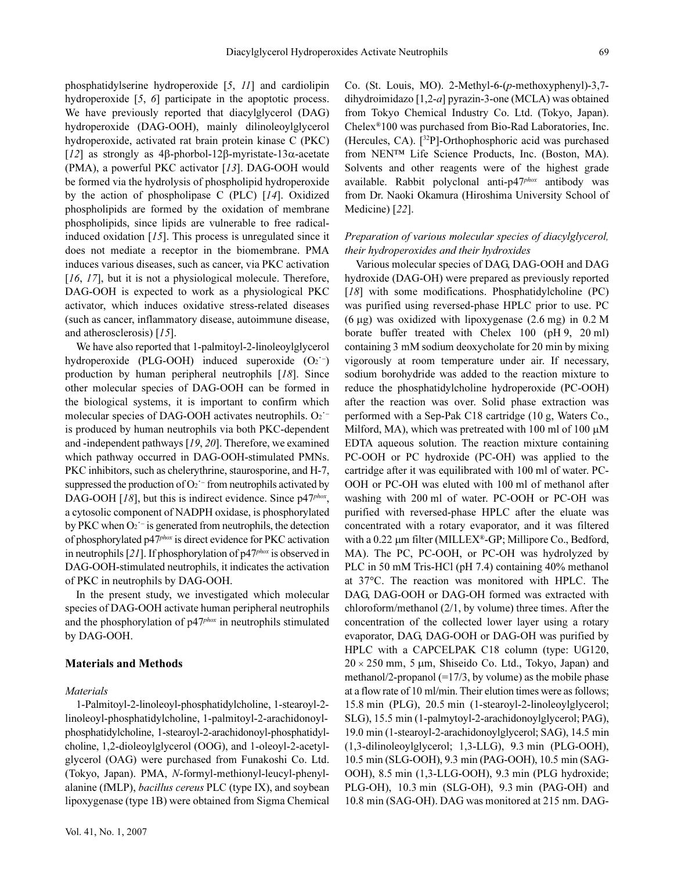phosphatidylserine hydroperoxide [5, 11] and cardiolipin hydroperoxide [5, 6] participate in the apoptotic process. We have previously reported that diacylglycerol (DAG) hydroperoxide (DAG-OOH), mainly dilinoleoylglycerol hydroperoxide, activated rat brain protein kinase C (PKC) [12] as strongly as 4β-phorbol-12β-myristate-13α-acetate (PMA), a powerful PKC activator [13]. DAG-OOH would be formed via the hydrolysis of phospholipid hydroperoxide by the action of phospholipase C (PLC) [14]. Oxidized phospholipids are formed by the oxidation of membrane phospholipids, since lipids are vulnerable to free radicalinduced oxidation [15]. This process is unregulated since it does not mediate a receptor in the biomembrane. PMA induces various diseases, such as cancer, via PKC activation [16, 17], but it is not a physiological molecule. Therefore, DAG-OOH is expected to work as a physiological PKC activator, which induces oxidative stress-related diseases (such as cancer, inflammatory disease, autoimmune disease, and atherosclerosis) [15].

We have also reported that 1-palmitoyl-2-linoleoylglycerol hydroperoxide (PLG-OOH) induced superoxide  $(O_2^-)$ production by human peripheral neutrophils [18]. Since other molecular species of DAG-OOH can be formed in the biological systems, it is important to confirm which molecular species of DAG-OOH activates neutrophils. O2<sup>′−</sup> is produced by human neutrophils via both PKC-dependent and -independent pathways [19, 20]. Therefore, we examined which pathway occurred in DAG-OOH-stimulated PMNs. PKC inhibitors, such as chelerythrine, staurosporine, and H-7, suppressed the production of O<sub>2</sub><sup>−</sup> from neutrophils activated by DAG-OOH [18], but this is indirect evidence. Since  $p47^{phox}$ , a cytosolic component of NADPH oxidase, is phosphorylated by PKC when O<sub>2</sub><sup>−</sup> is generated from neutrophils, the detection of phosphorylated p47phox is direct evidence for PKC activation in neutrophils  $[21]$ . If phosphorylation of  $p47<sup>phox</sup>$  is observed in DAG-OOH-stimulated neutrophils, it indicates the activation of PKC in neutrophils by DAG-OOH.

In the present study, we investigated which molecular species of DAG-OOH activate human peripheral neutrophils and the phosphorylation of  $p47<sup>phox</sup>$  in neutrophils stimulated by DAG-OOH.

## Materials and Methods

### **Materials**

1-Palmitoyl-2-linoleoyl-phosphatidylcholine, 1-stearoyl-2 linoleoyl-phosphatidylcholine, 1-palmitoyl-2-arachidonoylphosphatidylcholine, 1-stearoyl-2-arachidonoyl-phosphatidylcholine, 1,2-dioleoylglycerol (OOG), and 1-oleoyl-2-acetylglycerol (OAG) were purchased from Funakoshi Co. Ltd. (Tokyo, Japan). PMA, N-formyl-methionyl-leucyl-phenylalanine (fMLP), bacillus cereus PLC (type IX), and soybean lipoxygenase (type 1B) were obtained from Sigma Chemical

Co. (St. Louis, MO). 2-Methyl-6-(p-methoxyphenyl)-3,7 dihydroimidazo [1,2-a] pyrazin-3-one (MCLA) was obtained from Tokyo Chemical Industry Co. Ltd. (Tokyo, Japan). Chelex®100 was purchased from Bio-Rad Laboratories, Inc. (Hercules, CA). [<sup>32</sup>P]-Orthophosphoric acid was purchased from NEN™ Life Science Products, Inc. (Boston, MA). Solvents and other reagents were of the highest grade available. Rabbit polyclonal anti-p47<sup>phox</sup> antibody was from Dr. Naoki Okamura (Hiroshima University School of Medicine) [22].

# Preparation of various molecular species of diacylglycerol, their hydroperoxides and their hydroxides

Various molecular species of DAG, DAG-OOH and DAG hydroxide (DAG-OH) were prepared as previously reported [18] with some modifications. Phosphatidylcholine (PC) was purified using reversed-phase HPLC prior to use. PC  $(6 \mu g)$  was oxidized with lipoxygenase  $(2.6 \text{ mg})$  in 0.2 M borate buffer treated with Chelex 100 (pH 9, 20 ml) containing 3 mM sodium deoxycholate for 20 min by mixing vigorously at room temperature under air. If necessary, sodium borohydride was added to the reaction mixture to reduce the phosphatidylcholine hydroperoxide (PC-OOH) after the reaction was over. Solid phase extraction was performed with a Sep-Pak C18 cartridge (10 g, Waters Co., Milford, MA), which was pretreated with 100 ml of 100  $\mu$ M EDTA aqueous solution. The reaction mixture containing PC-OOH or PC hydroxide (PC-OH) was applied to the cartridge after it was equilibrated with 100 ml of water. PC-OOH or PC-OH was eluted with 100 ml of methanol after washing with 200 ml of water. PC-OOH or PC-OH was purified with reversed-phase HPLC after the eluate was concentrated with a rotary evaporator, and it was filtered with a 0.22 µm filter (MILLEX®-GP; Millipore Co., Bedford, MA). The PC, PC-OOH, or PC-OH was hydrolyzed by PLC in 50 mM Tris-HCl (pH 7.4) containing 40% methanol at 37°C. The reaction was monitored with HPLC. The DAG, DAG-OOH or DAG-OH formed was extracted with chloroform/methanol (2/1, by volume) three times. After the concentration of the collected lower layer using a rotary evaporator, DAG, DAG-OOH or DAG-OH was purified by HPLC with a CAPCELPAK C18 column (type: UG120,  $20 \times 250$  mm, 5 µm, Shiseido Co. Ltd., Tokyo, Japan) and methanol/2-propanol  $(=17/3,$  by volume) as the mobile phase at a flow rate of 10 ml/min. Their elution times were as follows; 15.8 min (PLG), 20.5 min (1-stearoyl-2-linoleoylglycerol; SLG), 15.5 min (1-palmytoyl-2-arachidonoylglycerol; PAG), 19.0 min (1-stearoyl-2-arachidonoylglycerol; SAG), 14.5 min (1,3-dilinoleoylglycerol; 1,3-LLG), 9.3 min (PLG-OOH), 10.5 min (SLG-OOH), 9.3 min (PAG-OOH), 10.5 min (SAG-OOH), 8.5 min (1,3-LLG-OOH), 9.3 min (PLG hydroxide; PLG-OH), 10.3 min (SLG-OH), 9.3 min (PAG-OH) and 10.8 min (SAG-OH). DAG was monitored at 215 nm. DAG-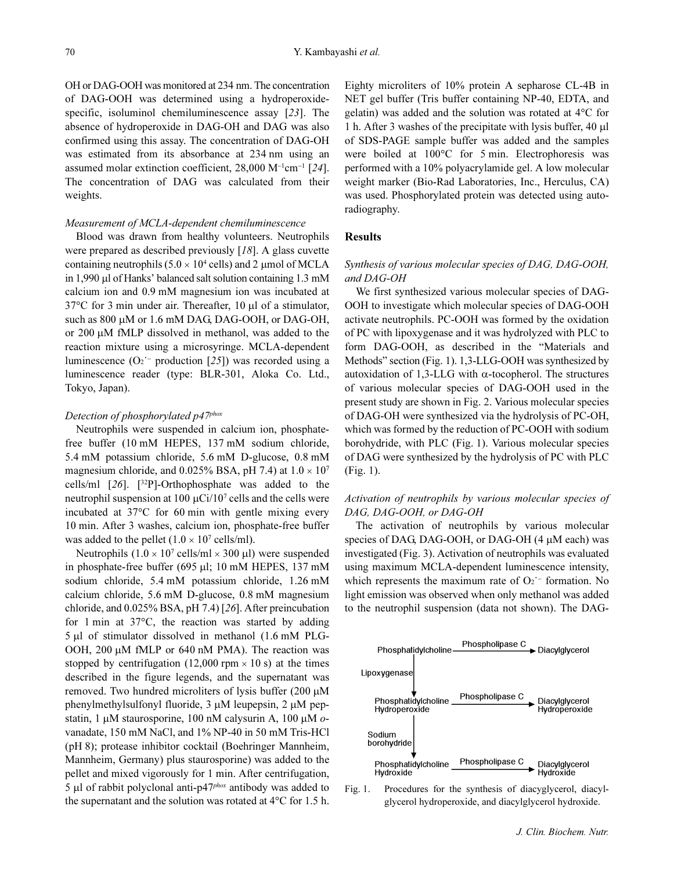OH or DAG-OOH was monitored at 234 nm. The concentration of DAG-OOH was determined using a hydroperoxidespecific, isoluminol chemiluminescence assay [23]. The absence of hydroperoxide in DAG-OH and DAG was also confirmed using this assay. The concentration of DAG-OH was estimated from its absorbance at 234 nm using an assumed molar extinction coefficient, 28,000 M<sup>-1</sup>cm<sup>-1</sup> [24]. The concentration of DAG was calculated from their weights.

### Measurement of MCLA-dependent chemiluminescence

Blood was drawn from healthy volunteers. Neutrophils were prepared as described previously [18]. A glass cuvette containing neutrophils  $(5.0 \times 10^4 \text{ cells})$  and 2 µmol of MCLA in 1,990 *µ*l of Hanks' balanced salt solution containing 1.3 mM calcium ion and 0.9 mM magnesium ion was incubated at 37°C for 3 min under air. Thereafter, 10 µl of a stimulator, such as 800  $\mu$ M or 1.6 mM DAG, DAG-OOH, or DAG-OH, or 200 µM fMLP dissolved in methanol, was added to the reaction mixture using a microsyringe. MCLA-dependent luminescence (O2˙<sup>−</sup> production [25]) was recorded using a luminescence reader (type: BLR-301, Aloka Co. Ltd., Tokyo, Japan).

#### Detection of phosphorylated p47<sup>phox</sup>

Neutrophils were suspended in calcium ion, phosphatefree buffer (10 mM HEPES, 137 mM sodium chloride, 5.4 mM potassium chloride, 5.6 mM D-glucose, 0.8 mM magnesium chloride, and 0.025% BSA, pH 7.4) at  $1.0 \times 10^7$ cells/ml  $[26]$ .  $[32P]$ -Orthophosphate was added to the neutrophil suspension at 100  $\mu$ Ci/10<sup>7</sup> cells and the cells were incubated at 37°C for 60 min with gentle mixing every 10 min. After 3 washes, calcium ion, phosphate-free buffer was added to the pellet  $(1.0 \times 10^7 \text{ cells/ml})$ .

Neutrophils  $(1.0 \times 10^7 \text{ cells/mL} \times 300 \text{ µ})$  were suspended in phosphate-free buffer (695 µl; 10 mM HEPES, 137 mM sodium chloride, 5.4 mM potassium chloride, 1.26 mM calcium chloride, 5.6 mM D-glucose, 0.8 mM magnesium chloride, and 0.025% BSA, pH 7.4) [26]. After preincubation for 1 min at 37°C, the reaction was started by adding 5 µl of stimulator dissolved in methanol (1.6 mM PLG-OOH, 200 µM fMLP or 640 nM PMA). The reaction was stopped by centrifugation (12,000 rpm  $\times$  10 s) at the times described in the figure legends, and the supernatant was removed. Two hundred microliters of lysis buffer (200 µM phenylmethylsulfonyl fluoride, 3 µM leupepsin, 2 µM pepstatin, 1  $\mu$ M staurosporine, 100 nM calysurin A, 100  $\mu$ M  $o$ vanadate, 150 mM NaCl, and 1% NP-40 in 50 mM Tris-HCl (pH 8); protease inhibitor cocktail (Boehringer Mannheim, Mannheim, Germany) plus staurosporine) was added to the pellet and mixed vigorously for 1 min. After centrifugation, 5 µl of rabbit polyclonal anti-p $47<sup>phox</sup>$  antibody was added to the supernatant and the solution was rotated at 4°C for 1.5 h.

Eighty microliters of 10% protein A sepharose CL-4B in NET gel buffer (Tris buffer containing NP-40, EDTA, and gelatin) was added and the solution was rotated at 4°C for 1 h. After 3 washes of the precipitate with lysis buffer, 40 µl of SDS-PAGE sample buffer was added and the samples were boiled at 100°C for 5 min. Electrophoresis was performed with a 10% polyacrylamide gel. A low molecular weight marker (Bio-Rad Laboratories, Inc., Herculus, CA) was used. Phosphorylated protein was detected using autoradiography.

#### Results

# Synthesis of various molecular species of DAG, DAG-OOH, and DAG-OH

We first synthesized various molecular species of DAG-OOH to investigate which molecular species of DAG-OOH activate neutrophils. PC-OOH was formed by the oxidation of PC with lipoxygenase and it was hydrolyzed with PLC to form DAG-OOH, as described in the "Materials and Methods" section (Fig. 1). 1,3-LLG-OOH was synthesized by autoxidation of 1,3-LLG with α-tocopherol. The structures of various molecular species of DAG-OOH used in the present study are shown in Fig. 2. Various molecular species of DAG-OH were synthesized via the hydrolysis of PC-OH, which was formed by the reduction of PC-OOH with sodium borohydride, with PLC (Fig. 1). Various molecular species of DAG were synthesized by the hydrolysis of PC with PLC (Fig. 1).

# Activation of neutrophils by various molecular species of DAG, DAG-OOH, or DAG-OH

The activation of neutrophils by various molecular species of DAG, DAG-OOH, or DAG-OH (4 µM each) was investigated (Fig. 3). Activation of neutrophils was evaluated using maximum MCLA-dependent luminescence intensity, which represents the maximum rate of  $O_2$ <sup> $-$ </sup> formation. No light emission was observed when only methanol was added to the neutrophil suspension (data not shown). The DAG-



Fig. 1. Procedures for the synthesis of diacyglycerol, diacylglycerol hydroperoxide, and diacylglycerol hydroxide.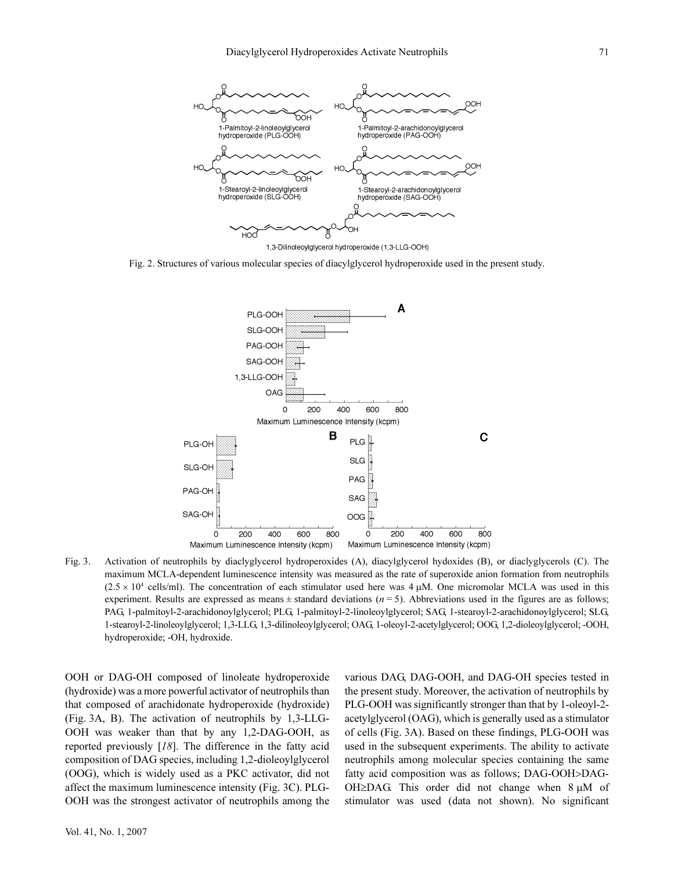

Fig. 2. Structures of various molecular species of diacylglycerol hydroperoxide used in the present study.



Fig. 3. Activation of neutrophils by diaclyglycerol hydroperoxides (A), diacylglycerol hydoxides (B), or diaclyglycerols (C). The maximum MCLA-dependent luminescence intensity was measured as the rate of superoxide anion formation from neutrophils  $(2.5 \times 10^4 \text{ cells/ml})$ . The concentration of each stimulator used here was 4  $\mu$ M. One micromolar MCLA was used in this experiment. Results are expressed as means  $\pm$  standard deviations ( $n = 5$ ). Abbreviations used in the figures are as follows; PAG, 1-palmitoyl-2-arachidonoylglycerol; PLG, 1-palmitoyl-2-linoleoylglycerol; SAG, 1-stearoyl-2-arachidonoylglycerol; SLG, 1-stearoyl-2-linoleoylglycerol; 1,3-LLG, 1,3-dilinoleoylglycerol; OAG, 1-oleoyl-2-acetylglycerol; OOG, 1,2-dioleoylglycerol; -OOH, hydroperoxide; -OH, hydroxide.

OOH or DAG-OH composed of linoleate hydroperoxide (hydroxide) was a more powerful activator of neutrophils than that composed of arachidonate hydroperoxide (hydroxide) (Fig. 3A, B). The activation of neutrophils by 1,3-LLG-OOH was weaker than that by any 1,2-DAG-OOH, as reported previously [18]. The difference in the fatty acid composition of DAG species, including 1,2-dioleoylglycerol (OOG), which is widely used as a PKC activator, did not affect the maximum luminescence intensity (Fig. 3C). PLG-OOH was the strongest activator of neutrophils among the various DAG, DAG-OOH, and DAG-OH species tested in the present study. Moreover, the activation of neutrophils by PLG-OOH was significantly stronger than that by 1-oleoyl-2 acetylglycerol (OAG), which is generally used as a stimulator of cells (Fig. 3A). Based on these findings, PLG-OOH was used in the subsequent experiments. The ability to activate neutrophils among molecular species containing the same fatty acid composition was as follows; DAG-OOH>DAG-OH≥DAG. This order did not change when  $8 \mu M$  of stimulator was used (data not shown). No significant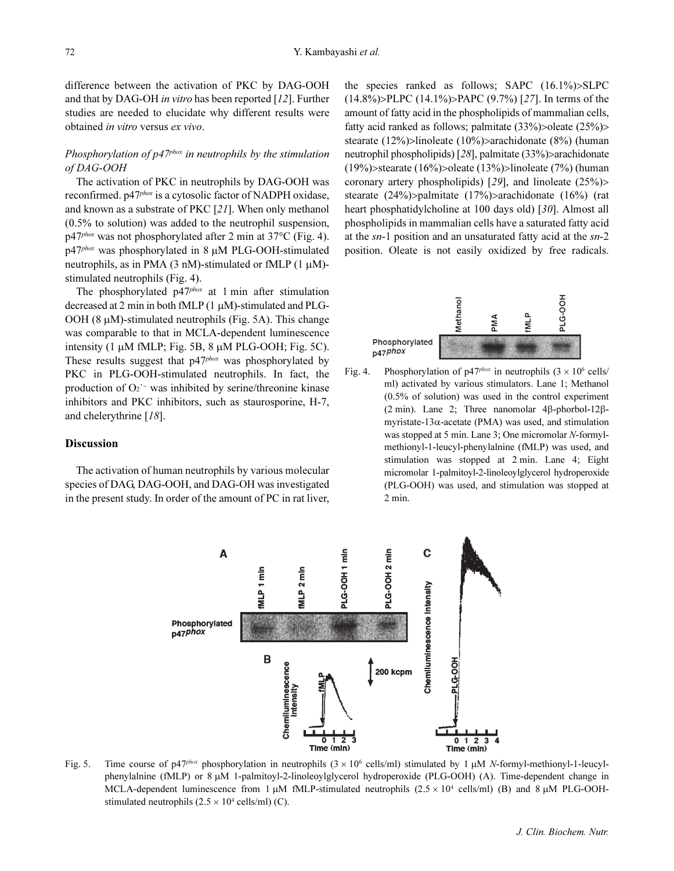difference between the activation of PKC by DAG-OOH and that by DAG-OH in vitro has been reported [12]. Further studies are needed to elucidate why different results were obtained in vitro versus ex vivo.

# Phosphorylation of  $p/47$ <sup>phox</sup> in neutrophils by the stimulation of DAG-OOH

The activation of PKC in neutrophils by DAG-OOH was reconfirmed. p47<sup>phox</sup> is a cytosolic factor of NADPH oxidase, and known as a substrate of PKC [21]. When only methanol (0.5% to solution) was added to the neutrophil suspension, p47phox was not phosphorylated after 2 min at 37°C (Fig. 4).  $p47<sup>phox</sup>$  was phosphorylated in 8  $\mu$ M PLG-OOH-stimulated neutrophils, as in PMA (3 nM)-stimulated or fMLP (1  $\mu$ M)stimulated neutrophils (Fig. 4).

The phosphorylated  $p47<sup>phox</sup>$  at 1 min after stimulation decreased at 2 min in both fMLP (1 µM)-stimulated and PLG-OOH (8 µM)-stimulated neutrophils (Fig. 5A). This change was comparable to that in MCLA-dependent luminescence intensity  $(1 \mu M \text{ fMLP}; \text{Fig. 5B}, 8 \mu M \text{ PLG-OOH}; \text{Fig. 5C}).$ These results suggest that p47<sup>phox</sup> was phosphorylated by PKC in PLG-OOH-stimulated neutrophils. In fact, the production of O<sub>2</sub><sup>−</sup> was inhibited by serine/threonine kinase inhibitors and PKC inhibitors, such as staurosporine, H-7, and chelerythrine [18].

## Discussion

The activation of human neutrophils by various molecular species of DAG, DAG-OOH, and DAG-OH was investigated in the present study. In order of the amount of PC in rat liver, the species ranked as follows; SAPC (16.1%)>SLPC (14.8%)>PLPC (14.1%)>PAPC (9.7%) [27]. In terms of the amount of fatty acid in the phospholipids of mammalian cells, fatty acid ranked as follows; palmitate (33%)>oleate (25%)> stearate (12%)>linoleate (10%)>arachidonate (8%) (human neutrophil phospholipids) [28], palmitate (33%)*>*arachidonate (19%)>stearate (16%)>oleate (13%)>linoleate (7%) (human coronary artery phospholipids) [29], and linoleate  $(25\%)$ stearate (24%)>palmitate (17%)>arachidonate (16%) (rat heart phosphatidylcholine at 100 days old) [30]. Almost all phospholipids in mammalian cells have a saturated fatty acid at the sn-1 position and an unsaturated fatty acid at the sn-2 position. Oleate is not easily oxidized by free radicals.



Fig. 4. Phosphorylation of  $p47<sup>phox</sup>$  in neutrophils  $(3 \times 10^6 \text{ cells/m})$ ml) activated by various stimulators. Lane 1; Methanol (0.5% of solution) was used in the control experiment (2 min). Lane 2; Three nanomolar 4β-phorbol-12βmyristate-13α-acetate (PMA) was used, and stimulation was stopped at 5 min. Lane 3; One micromolar N-formylmethionyl-1-leucyl-phenylalnine (fMLP) was used, and stimulation was stopped at 2 min. Lane 4; Eight micromolar 1-palmitoyl-2-linoleoylglycerol hydroperoxide (PLG-OOH) was used, and stimulation was stopped at 2 min.



Fig. 5. Time course of p47<sup>phox</sup> phosphorylation in neutrophils  $(3 \times 10^6 \text{ cells/ml})$  stimulated by 1  $\mu$ M N-formyl-methionyl-1-leucylphenylalnine (fMLP) or 8 µM 1-palmitoyl-2-linoleoylglycerol hydroperoxide (PLG-OOH) (A). Time-dependent change in MCLA-dependent luminescence from 1  $\mu$ M fMLP-stimulated neutrophils (2.5 × 10<sup>4</sup> cells/ml) (B) and 8  $\mu$ M PLG-OOHstimulated neutrophils  $(2.5 \times 10^4 \text{ cells/ml})$  (C).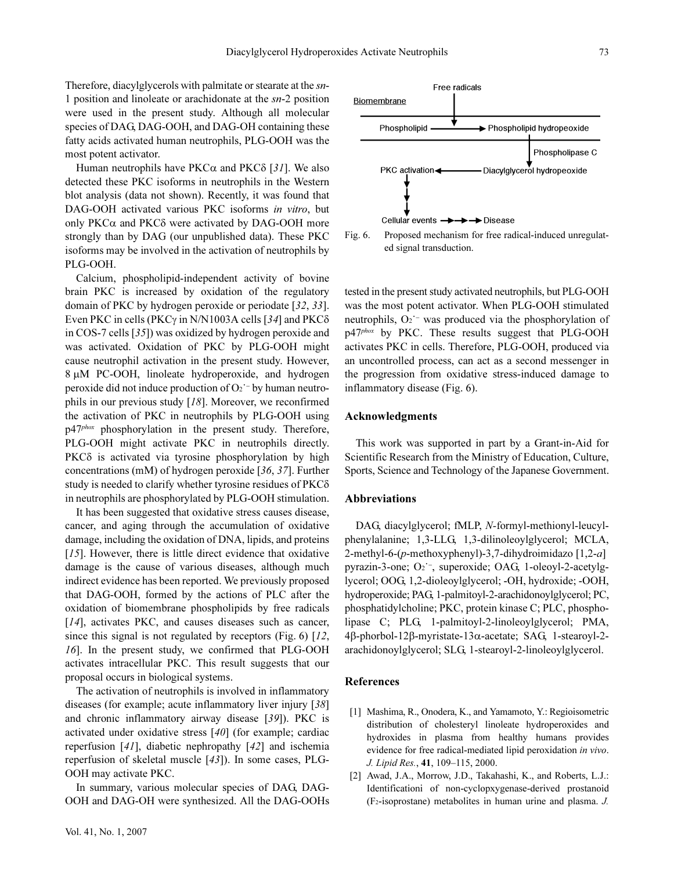Therefore, diacylglycerols with palmitate or stearate at the sn-1 position and linoleate or arachidonate at the sn-2 position were used in the present study. Although all molecular species of DAG, DAG-OOH, and DAG-OH containing these fatty acids activated human neutrophils, PLG-OOH was the most potent activator.

Human neutrophils have  $PKC\alpha$  and  $PKC\delta$  [31]. We also detected these PKC isoforms in neutrophils in the Western blot analysis (data not shown). Recently, it was found that DAG-OOH activated various PKC isoforms in vitro, but only  $PKC\alpha$  and  $PKC\delta$  were activated by DAG-OOH more strongly than by DAG (our unpublished data). These PKC isoforms may be involved in the activation of neutrophils by PLG-OOH.

Calcium, phospholipid-independent activity of bovine brain PKC is increased by oxidation of the regulatory domain of PKC by hydrogen peroxide or periodate [32, 33]. Even PKC in cells (PKCγ in N/N1003A cells [34] and PKCδ in COS-7 cells [35]) was oxidized by hydrogen peroxide and was activated. Oxidation of PKC by PLG-OOH might cause neutrophil activation in the present study. However, 8 µM PC-OOH, linoleate hydroperoxide, and hydrogen peroxide did not induce production of O<sub>2</sub><sup>′−</sup> by human neutrophils in our previous study [18]. Moreover, we reconfirmed the activation of PKC in neutrophils by PLG-OOH using p47<sup>phox</sup> phosphorylation in the present study. Therefore, PLG-OOH might activate PKC in neutrophils directly. PKCδ is activated via tyrosine phosphorylation by high concentrations (mM) of hydrogen peroxide [36, 37]. Further study is needed to clarify whether tyrosine residues of PKCδ in neutrophils are phosphorylated by PLG-OOH stimulation.

It has been suggested that oxidative stress causes disease, cancer, and aging through the accumulation of oxidative damage, including the oxidation of DNA, lipids, and proteins [15]. However, there is little direct evidence that oxidative damage is the cause of various diseases, although much indirect evidence has been reported. We previously proposed that DAG-OOH, formed by the actions of PLC after the oxidation of biomembrane phospholipids by free radicals [14], activates PKC, and causes diseases such as cancer, since this signal is not regulated by receptors (Fig. 6) [12, 16]. In the present study, we confirmed that PLG-OOH activates intracellular PKC. This result suggests that our proposal occurs in biological systems.

The activation of neutrophils is involved in inflammatory diseases (for example; acute inflammatory liver injury [38] and chronic inflammatory airway disease [39]). PKC is activated under oxidative stress [40] (for example; cardiac reperfusion [41], diabetic nephropathy [42] and ischemia reperfusion of skeletal muscle [43]). In some cases, PLG-OOH may activate PKC.

In summary, various molecular species of DAG, DAG-OOH and DAG-OH were synthesized. All the DAG-OOHs





tested in the present study activated neutrophils, but PLG-OOH was the most potent activator. When PLG-OOH stimulated neutrophils, O<sub>2</sub><sup>−</sup> was produced via the phosphorylation of p47<sup>phox</sup> by PKC. These results suggest that PLG-OOH activates PKC in cells. Therefore, PLG-OOH, produced via an uncontrolled process, can act as a second messenger in the progression from oxidative stress-induced damage to inflammatory disease (Fig. 6).

## Acknowledgments

This work was supported in part by a Grant-in-Aid for Scientific Research from the Ministry of Education, Culture, Sports, Science and Technology of the Japanese Government.

#### Abbreviations

DAG, diacylglycerol; fMLP, N-formyl-methionyl-leucylphenylalanine; 1,3-LLG, 1,3-dilinoleoylglycerol; MCLA, 2-methyl-6- $(p$ -methoxyphenyl)-3,7-dihydroimidazo [1,2-a] pyrazin-3-one; O2˙<sup>−</sup>, superoxide; OAG, 1-oleoyl-2-acetylglycerol; OOG, 1,2-dioleoylglycerol; -OH, hydroxide; -OOH, hydroperoxide; PAG, 1-palmitoyl-2-arachidonoylglycerol; PC, phosphatidylcholine; PKC, protein kinase C; PLC, phospholipase C; PLG, 1-palmitoyl-2-linoleoylglycerol; PMA, 4β-phorbol-12β-myristate-13α-acetate; SAG, 1-stearoyl-2 arachidonoylglycerol; SLG, 1-stearoyl-2-linoleoylglycerol.

#### References

- [1] Mashima, R., Onodera, K., and Yamamoto, Y.: Regioisometric distribution of cholesteryl linoleate hydroperoxides and hydroxides in plasma from healthy humans provides evidence for free radical-mediated lipid peroxidation in vivo. J. Lipid Res., 41, 109–115, 2000.
- [2] Awad, J.A., Morrow, J.D., Takahashi, K., and Roberts, L.J.: Identificationi of non-cyclopxygenase-derived prostanoid (F2-isoprostane) metabolites in human urine and plasma. J.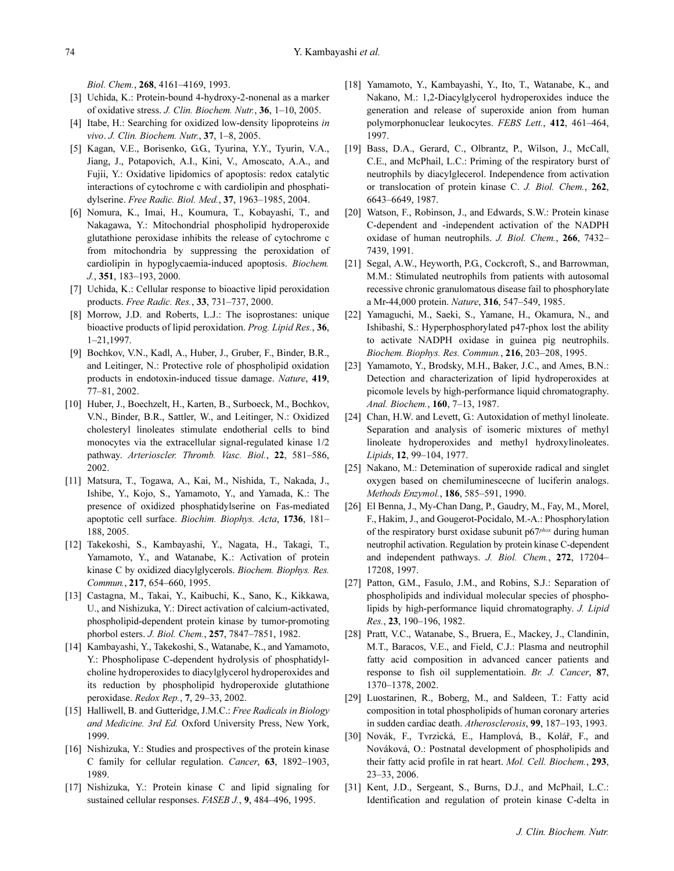Biol. Chem., 268, 4161–4169, 1993.

- [3] Uchida, K.: Protein-bound 4-hydroxy-2-nonenal as a marker of oxidative stress. J. Clin. Biochem. Nutr., 36, 1–10, 2005.
- [4] Itabe, H.: Searching for oxidized low-density lipoproteins in vivo. J. Clin. Biochem. Nutr., 37, 1–8, 2005.
- [5] Kagan, V.E., Borisenko, G.G., Tyurina, Y.Y., Tyurin, V.A., Jiang, J., Potapovich, A.I., Kini, V., Amoscato, A.A., and Fujii, Y.: Oxidative lipidomics of apoptosis: redox catalytic interactions of cytochrome c with cardiolipin and phosphatidylserine. Free Radic. Biol. Med., 37, 1963–1985, 2004.
- [6] Nomura, K., Imai, H., Koumura, T., Kobayashi, T., and Nakagawa, Y.: Mitochondrial phospholipid hydroperoxide glutathione peroxidase inhibits the release of cytochrome c from mitochondria by suppressing the peroxidation of cardiolipin in hypoglycaemia-induced apoptosis. Biochem. J., 351, 183–193, 2000.
- [7] Uchida, K.: Cellular response to bioactive lipid peroxidation products. Free Radic. Res., 33, 731–737, 2000.
- [8] Morrow, J.D. and Roberts, L.J.: The isoprostanes: unique bioactive products of lipid peroxidation. Prog. Lipid Res., 36, 1–21,1997.
- [9] Bochkov, V.N., Kadl, A., Huber, J., Gruber, F., Binder, B.R., and Leitinger, N.: Protective role of phospholipid oxidation products in endotoxin-induced tissue damage. Nature, 419, 77–81, 2002.
- [10] Huber, J., Boechzelt, H., Karten, B., Surboeck, M., Bochkov, V.N., Binder, B.R., Sattler, W., and Leitinger, N.: Oxidized cholesteryl linoleates stimulate endotherial cells to bind monocytes via the extracellular signal-regulated kinase 1/2 pathway. Arterioscler. Thromb. Vasc. Biol., 22, 581–586, 2002.
- [11] Matsura, T., Togawa, A., Kai, M., Nishida, T., Nakada, J., Ishibe, Y., Kojo, S., Yamamoto, Y., and Yamada, K.: The presence of oxidized phosphatidylserine on Fas-mediated apoptotic cell surface. Biochim. Biophys. Acta, 1736, 181– 188, 2005.
- [12] Takekoshi, S., Kambayashi, Y., Nagata, H., Takagi, T., Yamamoto, Y., and Watanabe, K.: Activation of protein kinase C by oxidized diacylglycerols. Biochem. Biophys. Res. Commun., 217, 654–660, 1995.
- [13] Castagna, M., Takai, Y., Kaibuchi, K., Sano, K., Kikkawa, U., and Nishizuka, Y.: Direct activation of calcium-activated, phospholipid-dependent protein kinase by tumor-promoting phorbol esters. J. Biol. Chem., 257, 7847–7851, 1982.
- [14] Kambayashi, Y., Takekoshi, S., Watanabe, K., and Yamamoto, Y.: Phospholipase C-dependent hydrolysis of phosphatidylcholine hydroperoxides to diacylglycerol hydroperoxides and its reduction by phospholipid hydroperoxide glutathione peroxidase. Redox Rep., 7, 29–33, 2002.
- [15] Halliwell, B. and Gutteridge, J.M.C.: Free Radicals in Biology and Medicine. 3rd Ed. Oxford University Press, New York, 1999.
- [16] Nishizuka, Y.: Studies and prospectives of the protein kinase C family for cellular regulation. Cancer, 63, 1892–1903, 1989.
- [17] Nishizuka, Y.: Protein kinase C and lipid signaling for sustained cellular responses. FASEB J., 9, 484–496, 1995.
- [18] Yamamoto, Y., Kambayashi, Y., Ito, T., Watanabe, K., and Nakano, M.: 1,2-Diacylglycerol hydroperoxides induce the generation and release of superoxide anion from human polymorphonuclear leukocytes. FEBS Lett., 412, 461–464, 1997.
- [19] Bass, D.A., Gerard, C., Olbrantz, P., Wilson, J., McCall, C.E., and McPhail, L.C.: Priming of the respiratory burst of neutrophils by diacylglecerol. Independence from activation or translocation of protein kinase C. J. Biol. Chem., 262, 6643–6649, 1987.
- [20] Watson, F., Robinson, J., and Edwards, S.W.: Protein kinase C-dependent and -independent activation of the NADPH oxidase of human neutrophils. J. Biol. Chem., 266, 7432– 7439, 1991.
- [21] Segal, A.W., Heyworth, P.G., Cockcroft, S., and Barrowman, M.M.: Stimulated neutrophils from patients with autosomal recessive chronic granulomatous disease fail to phosphorylate a Mr-44,000 protein. Nature, 316, 547–549, 1985.
- [22] Yamaguchi, M., Saeki, S., Yamane, H., Okamura, N., and Ishibashi, S.: Hyperphosphorylated p47-phox lost the ability to activate NADPH oxidase in guinea pig neutrophils. Biochem. Biophys. Res. Commun., 216, 203–208, 1995.
- [23] Yamamoto, Y., Brodsky, M.H., Baker, J.C., and Ames, B.N.: Detection and characterization of lipid hydroperoxides at picomole levels by high-performance liquid chromatography. Anal. Biochem., 160, 7–13, 1987.
- [24] Chan, H.W. and Levett, G.: Autoxidation of methyl linoleate. Separation and analysis of isomeric mixtures of methyl linoleate hydroperoxides and methyl hydroxylinoleates. Lipids, 12, 99–104, 1977.
- [25] Nakano, M.: Detemination of superoxide radical and singlet oxygen based on chemiluminescecne of luciferin analogs. Methods Enzymol., 186, 585–591, 1990.
- [26] El Benna, J., My-Chan Dang, P., Gaudry, M., Fay, M., Morel, F., Hakim, J., and Gougerot-Pocidalo, M.-A.: Phosphorylation of the respiratory burst oxidase subunit  $p67<sup>phox</sup>$  during human neutrophil activation. Regulation by protein kinase C-dependent and independent pathways. J. Biol. Chem., 272, 17204– 17208, 1997.
- [27] Patton, G.M., Fasulo, J.M., and Robins, S.J.: Separation of phospholipids and individual molecular species of phospholipids by high-performance liquid chromatography. J. Lipid Res., 23, 190–196, 1982.
- [28] Pratt, V.C., Watanabe, S., Bruera, E., Mackey, J., Clandinin, M.T., Baracos, V.E., and Field, C.J.: Plasma and neutrophil fatty acid composition in advanced cancer patients and response to fish oil supplementatioin. Br. J. Cancer, 87, 1370–1378, 2002.
- [29] Luostarinen, R., Boberg, M., and Saldeen, T.: Fatty acid composition in total phospholipids of human coronary arteries in sudden cardiac death. Atherosclerosis, 99, 187–193, 1993.
- [30] Novák, F., Tvrzická, E., Hamplová, B., Kolář, F., and Nováková, O.: Postnatal development of phospholipids and their fatty acid profile in rat heart. Mol. Cell. Biochem., 293, 23–33, 2006.
- [31] Kent, J.D., Sergeant, S., Burns, D.J., and McPhail, L.C.: Identification and regulation of protein kinase C-delta in